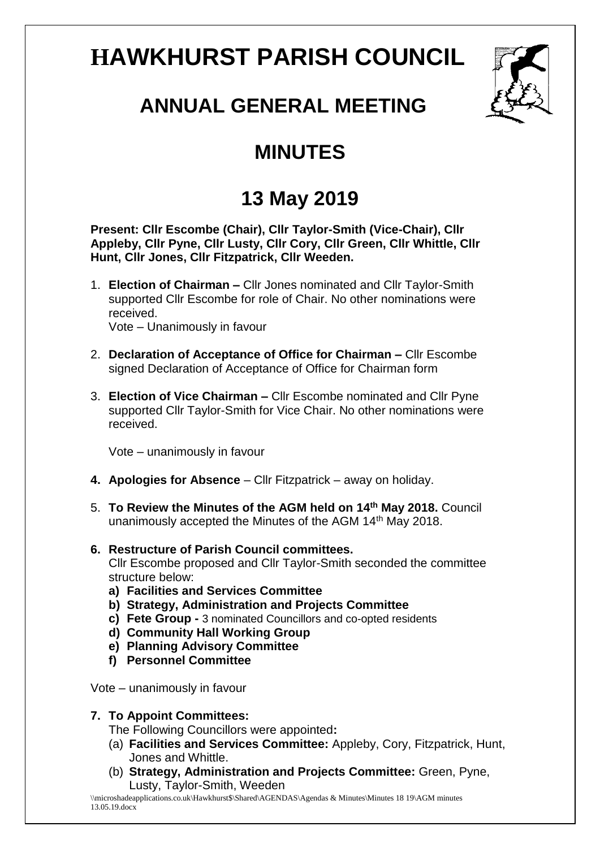# **HAWKHURST PARISH COUNCIL**



# **ANNUAL GENERAL MEETING**

## **MINUTES**

## **13 May 2019**

**Present: Cllr Escombe (Chair), Cllr Taylor-Smith (Vice-Chair), Cllr Appleby, Cllr Pyne, Cllr Lusty, Cllr Cory, Cllr Green, Cllr Whittle, Cllr Hunt, Cllr Jones, Cllr Fitzpatrick, Cllr Weeden.**

- 1. **Election of Chairman –** Cllr Jones nominated and Cllr Taylor-Smith supported Cllr Escombe for role of Chair. No other nominations were received. Vote – Unanimously in favour
- 2. **Declaration of Acceptance of Office for Chairman –** Cllr Escombe signed Declaration of Acceptance of Office for Chairman form
- 3. **Election of Vice Chairman –** Cllr Escombe nominated and Cllr Pyne supported Cllr Taylor-Smith for Vice Chair. No other nominations were received.

Vote – unanimously in favour

- **4. Apologies for Absence** Cllr Fitzpatrick away on holiday.
- 5. **To Review the Minutes of the AGM held on 14th May 2018.** Council unanimously accepted the Minutes of the AGM 14th May 2018.
- **6. Restructure of Parish Council committees.** Cllr Escombe proposed and Cllr Taylor-Smith seconded the committee structure below:
	- **a) Facilities and Services Committee**
	- **b) Strategy, Administration and Projects Committee**
	- **c) Fete Group -** 3 nominated Councillors and co-opted residents
	- **d) Community Hall Working Group**
	- **e) Planning Advisory Committee**
	- **f) Personnel Committee**
- Vote unanimously in favour

#### **7. To Appoint Committees:**

The Following Councillors were appointed**:**

- (a) **Facilities and Services Committee:** Appleby, Cory, Fitzpatrick, Hunt, Jones and Whittle.
- (b) **Strategy, Administration and Projects Committee:** Green, Pyne, Lusty, Taylor-Smith, Weeden

\\microshadeapplications.co.uk\Hawkhurst\$\Shared\AGENDAS\Agendas & Minutes\Minutes 18 19\AGM minutes 13.05.19.docx